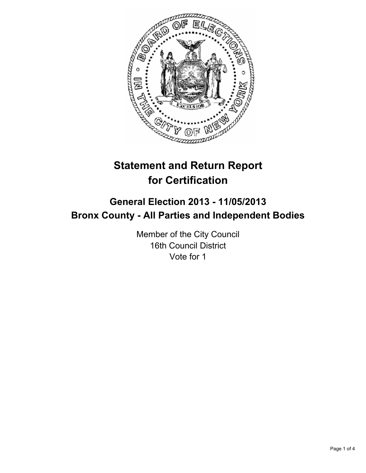

# **Statement and Return Report for Certification**

## **General Election 2013 - 11/05/2013 Bronx County - All Parties and Independent Bodies**

Member of the City Council 16th Council District Vote for 1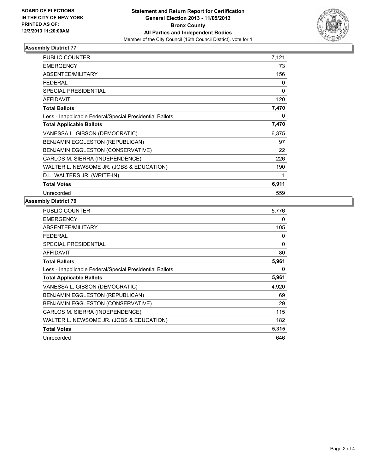

#### **Assembly District 77**

| <b>PUBLIC COUNTER</b>                                    | 7,121 |
|----------------------------------------------------------|-------|
| <b>EMERGENCY</b>                                         | 73    |
| ABSENTEE/MILITARY                                        | 156   |
| <b>FEDERAL</b>                                           | 0     |
| <b>SPECIAL PRESIDENTIAL</b>                              | 0     |
| <b>AFFIDAVIT</b>                                         | 120   |
| <b>Total Ballots</b>                                     | 7,470 |
| Less - Inapplicable Federal/Special Presidential Ballots | 0     |
| <b>Total Applicable Ballots</b>                          | 7,470 |
| VANESSA L. GIBSON (DEMOCRATIC)                           | 6,375 |
| BENJAMIN EGGLESTON (REPUBLICAN)                          | 97    |
| BENJAMIN EGGLESTON (CONSERVATIVE)                        | 22    |
| CARLOS M. SIERRA (INDEPENDENCE)                          | 226   |
| WALTER L. NEWSOME JR. (JOBS & EDUCATION)                 | 190   |
| D.L. WALTERS JR. (WRITE-IN)                              | 1     |
| <b>Total Votes</b>                                       | 6,911 |
| Unrecorded                                               | 559   |

### **Assembly District 79**

| PUBLIC COUNTER                                           | 5,776 |
|----------------------------------------------------------|-------|
| <b>EMERGENCY</b>                                         | 0     |
| <b>ABSENTEE/MILITARY</b>                                 | 105   |
| <b>FEDERAL</b>                                           | 0     |
| <b>SPECIAL PRESIDENTIAL</b>                              | 0     |
| <b>AFFIDAVIT</b>                                         | 80    |
| <b>Total Ballots</b>                                     | 5,961 |
| Less - Inapplicable Federal/Special Presidential Ballots | 0     |
| <b>Total Applicable Ballots</b>                          | 5,961 |
| VANESSA L. GIBSON (DEMOCRATIC)                           | 4,920 |
| <b>BENJAMIN EGGLESTON (REPUBLICAN)</b>                   | 69    |
| <b>BENJAMIN EGGLESTON (CONSERVATIVE)</b>                 | 29    |
| CARLOS M. SIERRA (INDEPENDENCE)                          | 115   |
| WALTER L. NEWSOME JR. (JOBS & EDUCATION)                 | 182   |
| <b>Total Votes</b>                                       | 5,315 |
| Unrecorded                                               | 646   |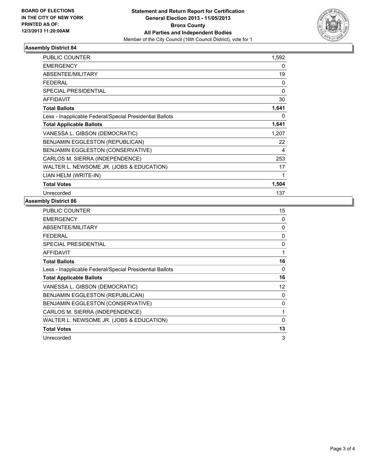

#### **Assembly District 84**

| <b>PUBLIC COUNTER</b>                                    | 1,592    |
|----------------------------------------------------------|----------|
| <b>EMERGENCY</b>                                         | 0        |
| <b>ABSENTEE/MILITARY</b>                                 | 19       |
| <b>FEDERAL</b>                                           | 0        |
| <b>SPECIAL PRESIDENTIAL</b>                              | $\Omega$ |
| <b>AFFIDAVIT</b>                                         | 30       |
| <b>Total Ballots</b>                                     | 1,641    |
| Less - Inapplicable Federal/Special Presidential Ballots | 0        |
| <b>Total Applicable Ballots</b>                          | 1,641    |
| VANESSA L. GIBSON (DEMOCRATIC)                           | 1,207    |
| BENJAMIN EGGLESTON (REPUBLICAN)                          | 22       |
| BENJAMIN EGGLESTON (CONSERVATIVE)                        | 4        |
| CARLOS M. SIERRA (INDEPENDENCE)                          | 253      |
| WALTER L. NEWSOME JR. (JOBS & EDUCATION)                 | 17       |
| LIAN HELM (WRITE-IN)                                     | 1        |
| <b>Total Votes</b>                                       | 1,504    |
| Unrecorded                                               | 137      |

#### **Assembly District 86**

| <b>PUBLIC COUNTER</b>                                    | 15           |
|----------------------------------------------------------|--------------|
| <b>EMERGENCY</b>                                         | 0            |
| ABSENTEE/MILITARY                                        | 0            |
| <b>FEDERAL</b>                                           | 0            |
| SPECIAL PRESIDENTIAL                                     | $\mathbf{0}$ |
| AFFIDAVIT                                                |              |
| <b>Total Ballots</b>                                     | 16           |
| Less - Inapplicable Federal/Special Presidential Ballots | 0            |
| <b>Total Applicable Ballots</b>                          | 16           |
| VANESSA L. GIBSON (DEMOCRATIC)                           | 12           |
| BENJAMIN EGGLESTON (REPUBLICAN)                          | 0            |
| BENJAMIN EGGLESTON (CONSERVATIVE)                        | 0            |
| CARLOS M. SIERRA (INDEPENDENCE)                          | 1            |
| WALTER L. NEWSOME JR. (JOBS & EDUCATION)                 | $\Omega$     |
| <b>Total Votes</b>                                       | 13           |
| Unrecorded                                               | 3            |